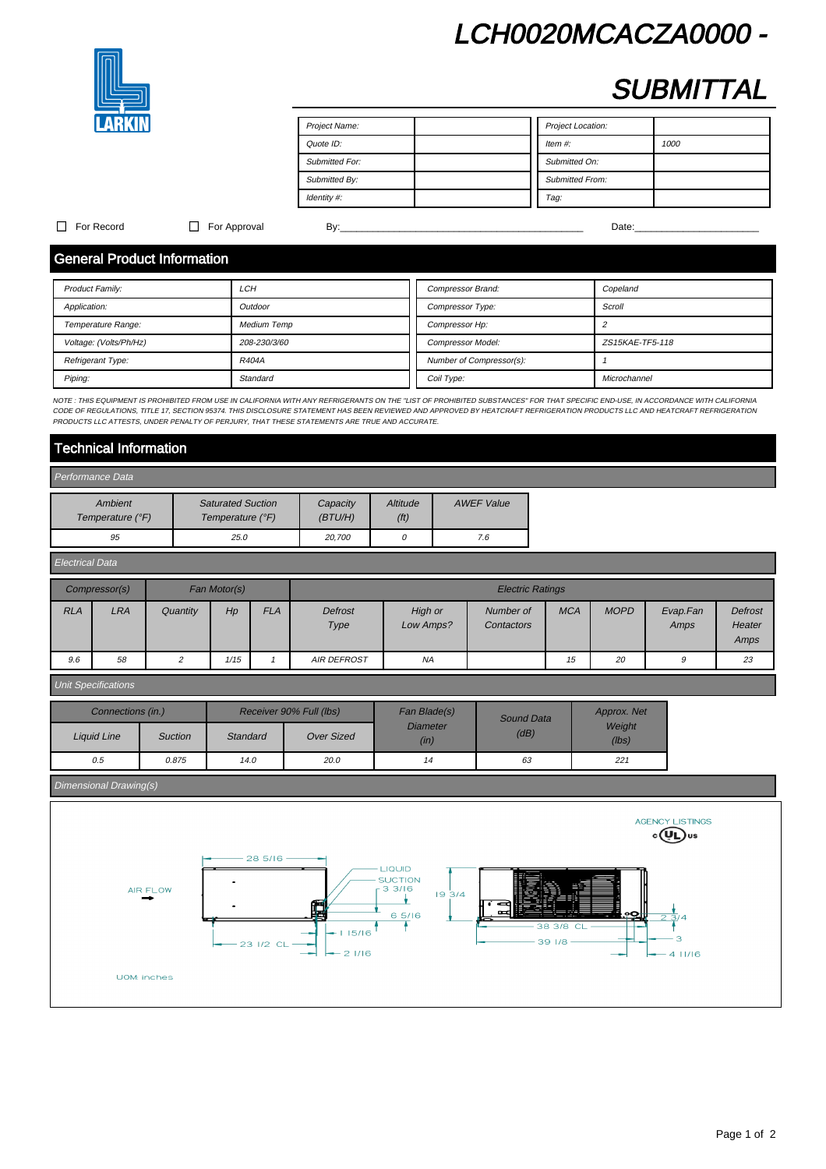# LCH0020MCACZA0000 -



# **SUBMITTAL**

| Project Name:         | Project Location:      |
|-----------------------|------------------------|
| Quote ID:             | Item $#$ :<br>1000     |
| <b>Submitted For:</b> | Submitted On:          |
| Submitted By:         | <b>Submitted From:</b> |
| Identity #:           | Tag:                   |

### For Record For Approval By:\_\_\_\_\_\_\_\_\_\_\_\_\_\_\_\_\_\_\_\_\_\_\_\_\_\_\_\_\_\_\_\_\_\_\_\_\_\_\_\_\_\_\_\_\_ Date:\_\_\_\_\_\_\_\_\_\_\_\_\_\_\_\_\_\_\_\_\_\_\_

# General Product Information

| <b>Product Family:</b> | LCH                | Compressor Brand:        | Copeland        |
|------------------------|--------------------|--------------------------|-----------------|
| Application:           | Outdoor            | Compressor Type:         | Scroll          |
| Temperature Range:     | <b>Medium Temp</b> | Compressor Hp:           |                 |
| Voltage: (Volts/Ph/Hz) | 208-230/3/60       | <b>Compressor Model:</b> | ZS15KAE-TF5-118 |
| Refrigerant Type:      | R404A              | Number of Compressor(s): |                 |
| Piping:                | Standard           | Coil Type:               | Microchannel    |

NOTE : THIS EQUIPMENT IS PROHIBITED FROM USE IN CALIFORNIA WITH ANY REFRIGERANTS ON THE "LIST OF PROHIBITED SUBSTANCES" FOR THAT SPECIFIC END-USE, IN ACCORDANCE WITH CALIFORNIA CODE OF REGULATIONS, TITLE 17, SECTION 95374. THIS DISCLOSURE STATEMENT HAS BEEN REVIEWED AND APPROVED BY HEATCRAFT REFRIGERATION PRODUCTS LLC AND HEATCRAFT REFRIGERATION PRODUCTS AND HEATCRAFT REFRIGERATION PRODUCTS LLC A PRODUCTS LLC ATTESTS, UNDER PENALTY OF PERJURY, THAT THESE STATEMENTS ARE TRUE AND ACCURATE.

# Technical Information

| Performance Data            |                                              |                      |                  |                   |  |  |  |
|-----------------------------|----------------------------------------------|----------------------|------------------|-------------------|--|--|--|
| Ambient<br>Temperature (°F) | <b>Saturated Suction</b><br>Temperature (°F) | Capacity<br>(BT U/H) | Altitude<br>(ft) | <b>AWEF Value</b> |  |  |  |
| 95                          | 25.0                                         | 20.700               |                  | 7.6               |  |  |  |

| <b>Electrical Data</b> |               |          |              |            |                         |                      |                         |            |             |                  |                           |
|------------------------|---------------|----------|--------------|------------|-------------------------|----------------------|-------------------------|------------|-------------|------------------|---------------------------|
|                        | Compressor(s) |          | Fan Motor(s) |            | <b>Electric Ratings</b> |                      |                         |            |             |                  |                           |
| <b>RLA</b>             | <b>LRA</b>    | Quantity | Hp           | <b>FLA</b> | <b>Defrost</b><br>Type  | High or<br>Low Amps? | Number of<br>Contactors | <b>MCA</b> | <b>MOPD</b> | Evap.Fan<br>Amps | Defrost<br>Heater<br>Amps |
| 9.6                    | 58            |          | 1/15         |            | <b>AIR DEFROST</b>      | ΝA                   |                         | 15         | 20          | 9                | 23                        |

### Unit Specifications

| Connections (in.)  |                |          | Receiver 90% Full (lbs) | Fan Blade(s)            | Sound Data | Approx. Net     |  |
|--------------------|----------------|----------|-------------------------|-------------------------|------------|-----------------|--|
| <b>Liquid Line</b> | <b>Suction</b> | Standard | <b>Over Sized</b>       | <b>Diameter</b><br>(in) | (dB)       | Weight<br>(lbs) |  |
| 0.5                | 0.875          | 14.0     | 20.0                    | 14                      | 63         | 221             |  |

### Dimensional Drawing(s)